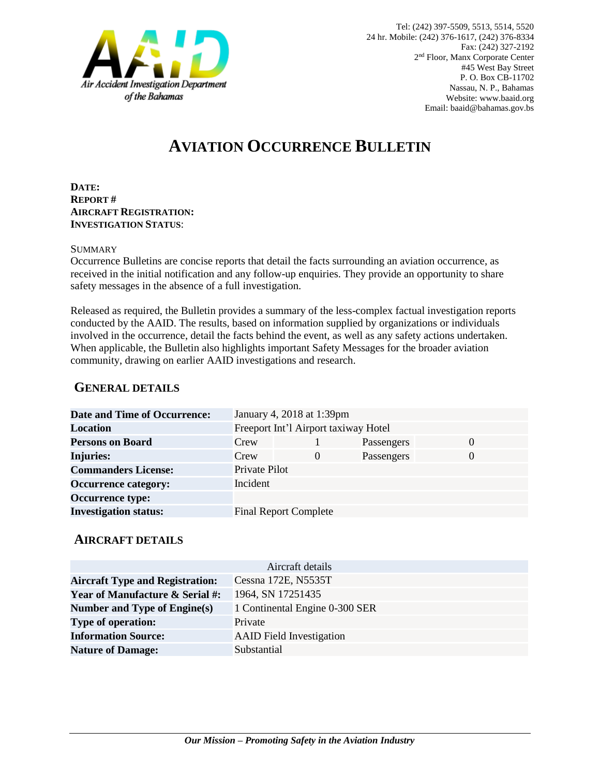

# **AVIATION OCCURRENCE BULLETIN**

**DATE: REPORT # AIRCRAFT REGISTRATION: INVESTIGATION STATUS**:

#### **SUMMARY**

Occurrence Bulletins are concise reports that detail the facts surrounding an aviation occurrence, as received in the initial notification and any follow-up enquiries. They provide an opportunity to share safety messages in the absence of a full investigation*.*

Released as required, the Bulletin provides a summary of the less-complex factual investigation reports conducted by the AAID. The results, based on information supplied by organizations or individuals involved in the occurrence, detail the facts behind the event, as well as any safety actions undertaken. When applicable, the Bulletin also highlights important Safety Messages for the broader aviation community, drawing on earlier AAID investigations and research.

### **GENERAL DETAILS**

| <b>Date and Time of Occurrence:</b> |                                      | January 4, 2018 at 1:39pm    |            |          |
|-------------------------------------|--------------------------------------|------------------------------|------------|----------|
| Location                            | Freeport Int'l Airport taxiway Hotel |                              |            |          |
| <b>Persons on Board</b>             | Crew                                 |                              | Passengers | $\Omega$ |
| <b>Injuries:</b>                    | Crew                                 | $\theta$                     | Passengers | $\Omega$ |
| <b>Commanders License:</b>          | Private Pilot                        |                              |            |          |
| <b>Occurrence category:</b>         | Incident                             |                              |            |          |
| <b>Occurrence type:</b>             |                                      |                              |            |          |
| <b>Investigation status:</b>        |                                      | <b>Final Report Complete</b> |            |          |

#### **AIRCRAFT DETAILS**

| Aircraft details                           |                                 |  |  |  |
|--------------------------------------------|---------------------------------|--|--|--|
| <b>Aircraft Type and Registration:</b>     | Cessna 172E, N5535T             |  |  |  |
| <b>Year of Manufacture &amp; Serial #:</b> | 1964, SN 17251435               |  |  |  |
| Number and Type of Engine(s)               | 1 Continental Engine 0-300 SER  |  |  |  |
| <b>Type of operation:</b>                  | Private                         |  |  |  |
| <b>Information Source:</b>                 | <b>AAID</b> Field Investigation |  |  |  |
| <b>Nature of Damage:</b>                   | Substantial                     |  |  |  |